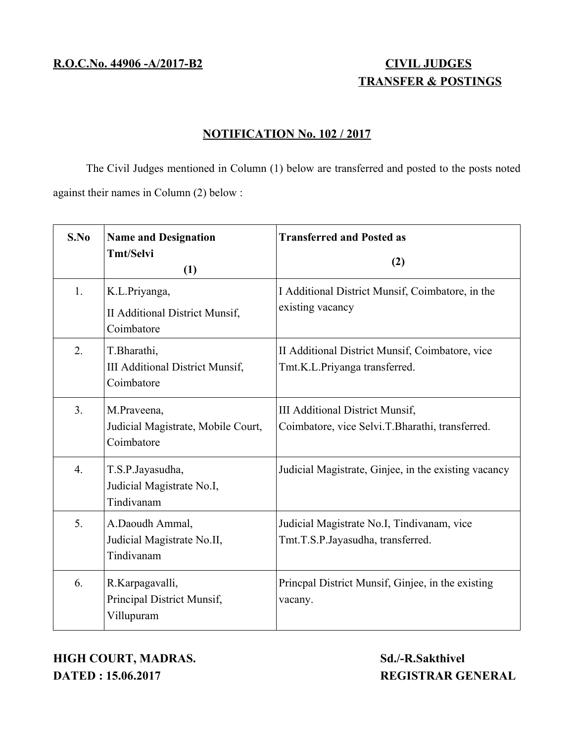# **TRANSFER & POSTINGS**

## **NOTIFICATION No. 102 / 2017**

The Civil Judges mentioned in Column (1) below are transferred and posted to the posts noted against their names in Column (2) below :

| S.No             | <b>Name and Designation</b><br><b>Tmt/Selvi</b><br>(1)              | <b>Transferred and Posted as</b><br>(2)                                            |
|------------------|---------------------------------------------------------------------|------------------------------------------------------------------------------------|
| 1.               | K.L.Priyanga,<br>II Additional District Munsif,<br>Coimbatore       | I Additional District Munsif, Coimbatore, in the<br>existing vacancy               |
| 2.               | T.Bharathi,<br><b>III Additional District Munsif,</b><br>Coimbatore | II Additional District Munsif, Coimbatore, vice<br>Tmt.K.L.Priyanga transferred.   |
| 3.               | M.Praveena,<br>Judicial Magistrate, Mobile Court,<br>Coimbatore     | III Additional District Munsif,<br>Coimbatore, vice Selvi.T.Bharathi, transferred. |
| $\overline{4}$ . | T.S.P.Jayasudha,<br>Judicial Magistrate No.I,<br>Tindivanam         | Judicial Magistrate, Ginjee, in the existing vacancy                               |
| 5.               | A.Daoudh Ammal,<br>Judicial Magistrate No.II,<br>Tindivanam         | Judicial Magistrate No.I, Tindivanam, vice<br>Tmt.T.S.P.Jayasudha, transferred.    |
| 6.               | R.Karpagavalli,<br>Principal District Munsif,<br>Villupuram         | Princpal District Munsif, Ginjee, in the existing<br>vacany.                       |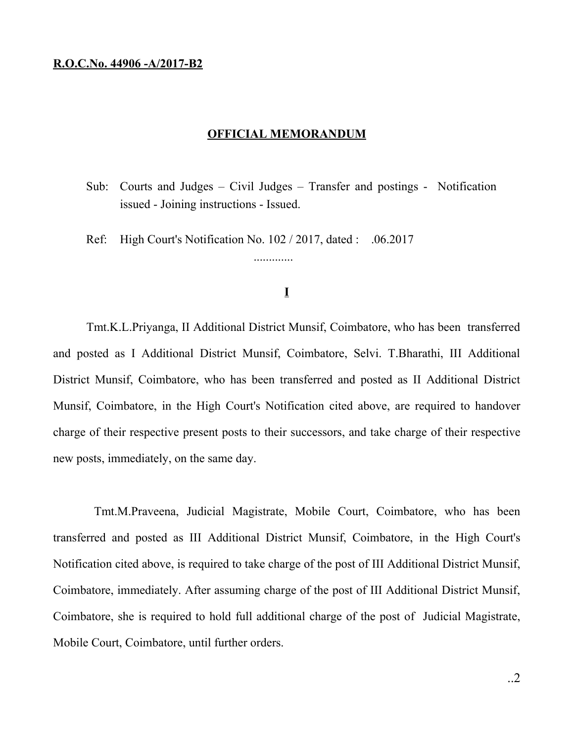### **R.O.C.No. 44906 -A/2017-B2**

#### **OFFICIAL MEMORANDUM**

- Sub: Courts and Judges Civil Judges Transfer and postings Notification issued - Joining instructions - Issued.
- Ref: High Court's Notification No. 102 / 2017, dated : .06.2017

## **I**

.............

Tmt.K.L.Priyanga, II Additional District Munsif, Coimbatore, who has been transferred and posted as I Additional District Munsif, Coimbatore, Selvi. T.Bharathi, III Additional District Munsif, Coimbatore, who has been transferred and posted as II Additional District Munsif, Coimbatore, in the High Court's Notification cited above, are required to handover charge of their respective present posts to their successors, and take charge of their respective new posts, immediately, on the same day.

Tmt.M.Praveena, Judicial Magistrate, Mobile Court, Coimbatore, who has been transferred and posted as III Additional District Munsif, Coimbatore, in the High Court's Notification cited above, is required to take charge of the post of III Additional District Munsif, Coimbatore, immediately. After assuming charge of the post of III Additional District Munsif, Coimbatore, she is required to hold full additional charge of the post of Judicial Magistrate, Mobile Court, Coimbatore, until further orders.